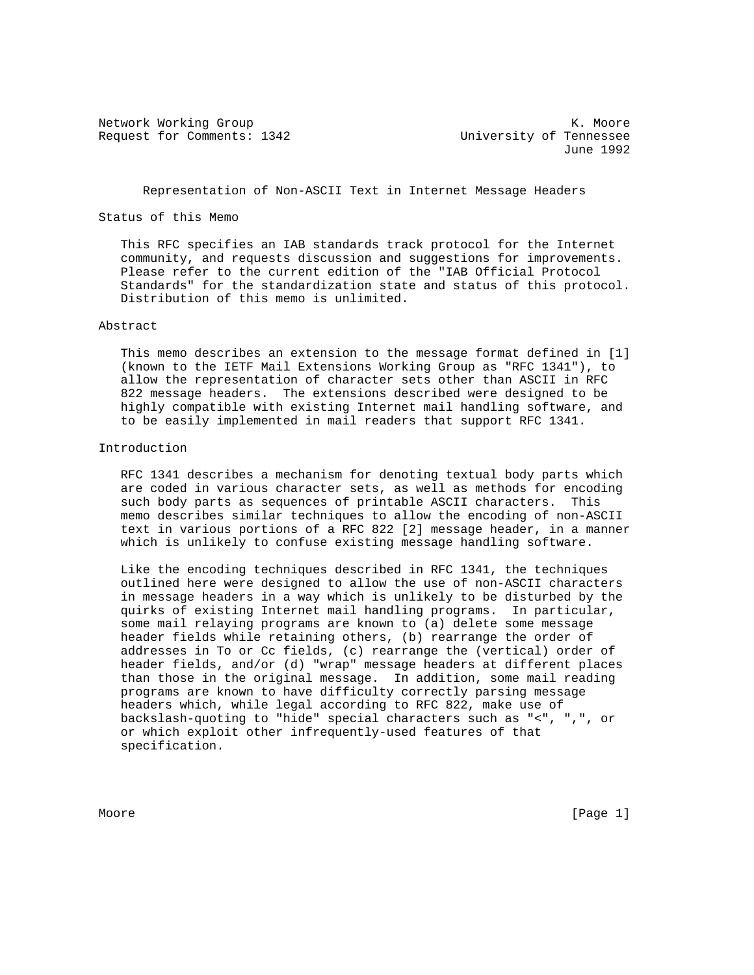Request for Comments: 1342 University of Tennessee

Network Working Group Network Working Group Network Working Group June 1992

# Representation of Non-ASCII Text in Internet Message Headers

# Status of this Memo

 This RFC specifies an IAB standards track protocol for the Internet community, and requests discussion and suggestions for improvements. Please refer to the current edition of the "IAB Official Protocol Standards" for the standardization state and status of this protocol. Distribution of this memo is unlimited.

### Abstract

 This memo describes an extension to the message format defined in [1] (known to the IETF Mail Extensions Working Group as "RFC 1341"), to allow the representation of character sets other than ASCII in RFC 822 message headers. The extensions described were designed to be highly compatible with existing Internet mail handling software, and to be easily implemented in mail readers that support RFC 1341.

## Introduction

 RFC 1341 describes a mechanism for denoting textual body parts which are coded in various character sets, as well as methods for encoding such body parts as sequences of printable ASCII characters. This memo describes similar techniques to allow the encoding of non-ASCII text in various portions of a RFC 822 [2] message header, in a manner which is unlikely to confuse existing message handling software.

 Like the encoding techniques described in RFC 1341, the techniques outlined here were designed to allow the use of non-ASCII characters in message headers in a way which is unlikely to be disturbed by the quirks of existing Internet mail handling programs. In particular, some mail relaying programs are known to (a) delete some message header fields while retaining others, (b) rearrange the order of addresses in To or Cc fields, (c) rearrange the (vertical) order of header fields, and/or (d) "wrap" message headers at different places than those in the original message. In addition, some mail reading programs are known to have difficulty correctly parsing message headers which, while legal according to RFC 822, make use of backslash-quoting to "hide" special characters such as "<", ",", or or which exploit other infrequently-used features of that specification.

Moore [Page 1] Noore [Page 1] Noore [Page 1] Noore [Page 1] Noore [Page 1] Noore [Page 1] Noore [Page 1] Noore [Page 1] Noore [Page 1]  $\sim$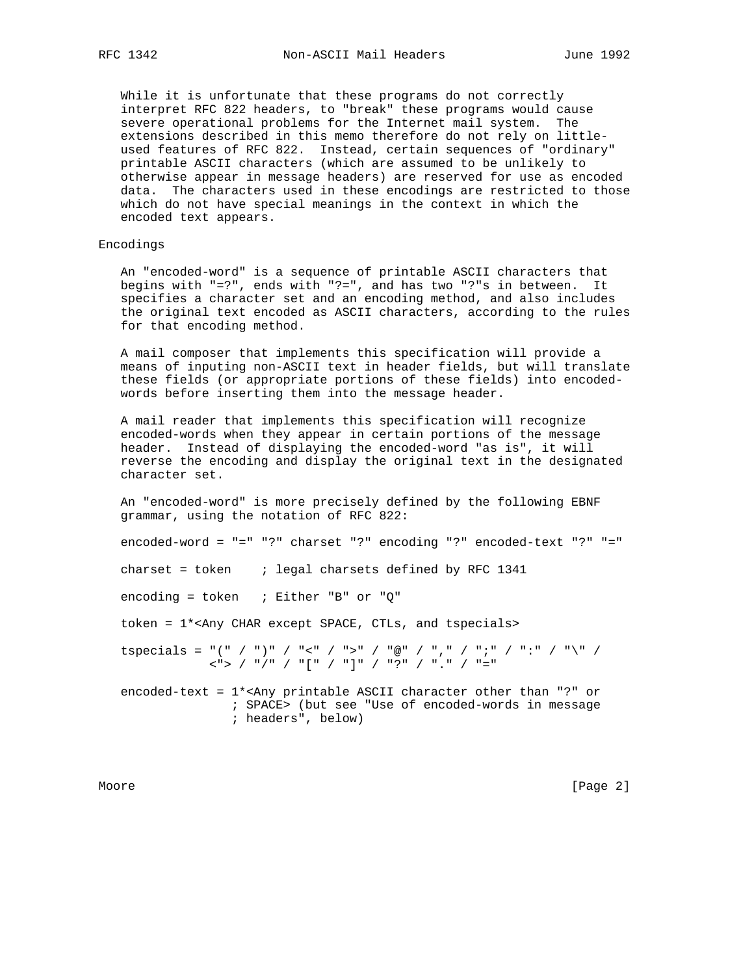While it is unfortunate that these programs do not correctly interpret RFC 822 headers, to "break" these programs would cause severe operational problems for the Internet mail system. The extensions described in this memo therefore do not rely on little used features of RFC 822. Instead, certain sequences of "ordinary" printable ASCII characters (which are assumed to be unlikely to otherwise appear in message headers) are reserved for use as encoded data. The characters used in these encodings are restricted to those which do not have special meanings in the context in which the encoded text appears.

### Encodings

 An "encoded-word" is a sequence of printable ASCII characters that begins with "=?", ends with "?=", and has two "?"s in between. It specifies a character set and an encoding method, and also includes the original text encoded as ASCII characters, according to the rules for that encoding method.

 A mail composer that implements this specification will provide a means of inputing non-ASCII text in header fields, but will translate these fields (or appropriate portions of these fields) into encoded words before inserting them into the message header.

 A mail reader that implements this specification will recognize encoded-words when they appear in certain portions of the message header. Instead of displaying the encoded-word "as is", it will reverse the encoding and display the original text in the designated character set.

 An "encoded-word" is more precisely defined by the following EBNF grammar, using the notation of RFC 822:

encoded-word = "=" "?" charset "?" encoding "?" encoded-text "?" "="

charset = token ; legal charsets defined by RFC 1341

encoding = token  $\therefore$  Either "B" or "Q"

token = 1\*<Any CHAR except SPACE, CTLs, and tspecials>

tspecials = "(" / ")" / "<" / ">" / "@" / "," / ";" / ":" / "\" / <"> / "/" / "[" / "]" / "?" / "." / "="

encoded-text =  $1*$ <Any printable ASCII character other than "?" or ; SPACE> (but see "Use of encoded-words in message ; headers", below)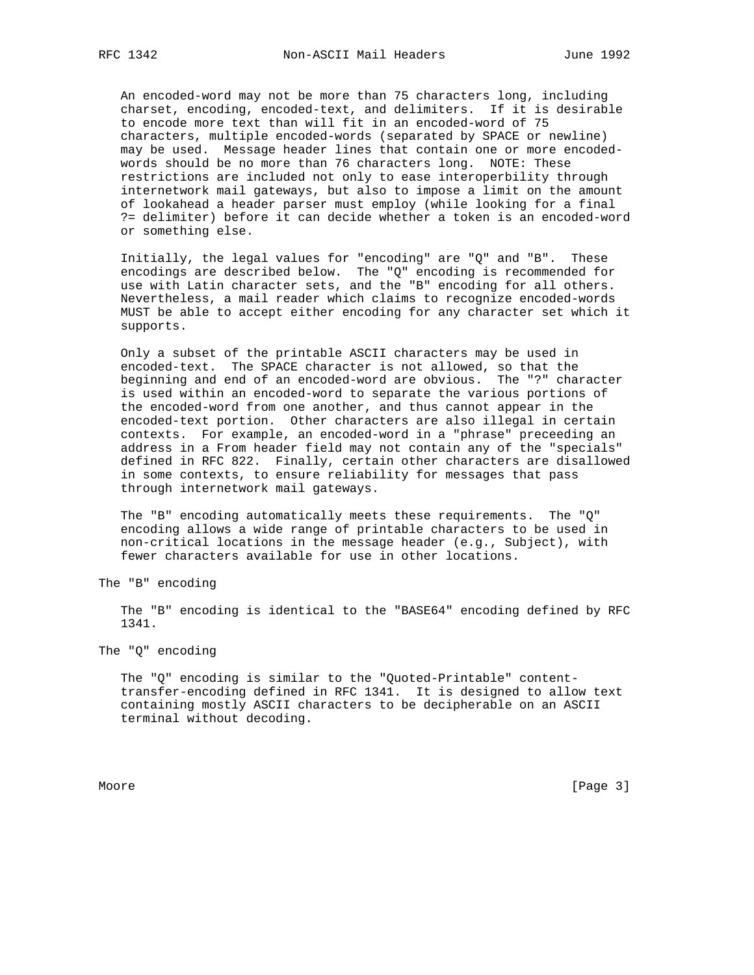An encoded-word may not be more than 75 characters long, including charset, encoding, encoded-text, and delimiters. If it is desirable to encode more text than will fit in an encoded-word of 75 characters, multiple encoded-words (separated by SPACE or newline) may be used. Message header lines that contain one or more encoded words should be no more than 76 characters long. NOTE: These restrictions are included not only to ease interoperbility through internetwork mail gateways, but also to impose a limit on the amount of lookahead a header parser must employ (while looking for a final ?= delimiter) before it can decide whether a token is an encoded-word or something else.

 Initially, the legal values for "encoding" are "Q" and "B". These encodings are described below. The "Q" encoding is recommended for use with Latin character sets, and the "B" encoding for all others. Nevertheless, a mail reader which claims to recognize encoded-words MUST be able to accept either encoding for any character set which it supports.

 Only a subset of the printable ASCII characters may be used in encoded-text. The SPACE character is not allowed, so that the beginning and end of an encoded-word are obvious. The "?" character is used within an encoded-word to separate the various portions of the encoded-word from one another, and thus cannot appear in the encoded-text portion. Other characters are also illegal in certain contexts. For example, an encoded-word in a "phrase" preceeding an address in a From header field may not contain any of the "specials" defined in RFC 822. Finally, certain other characters are disallowed in some contexts, to ensure reliability for messages that pass through internetwork mail gateways.

 The "B" encoding automatically meets these requirements. The "Q" encoding allows a wide range of printable characters to be used in non-critical locations in the message header (e.g., Subject), with fewer characters available for use in other locations.

The "B" encoding

 The "B" encoding is identical to the "BASE64" encoding defined by RFC 1341.

The "Q" encoding

 The "Q" encoding is similar to the "Quoted-Printable" content transfer-encoding defined in RFC 1341. It is designed to allow text containing mostly ASCII characters to be decipherable on an ASCII terminal without decoding.

Moore [Page 3]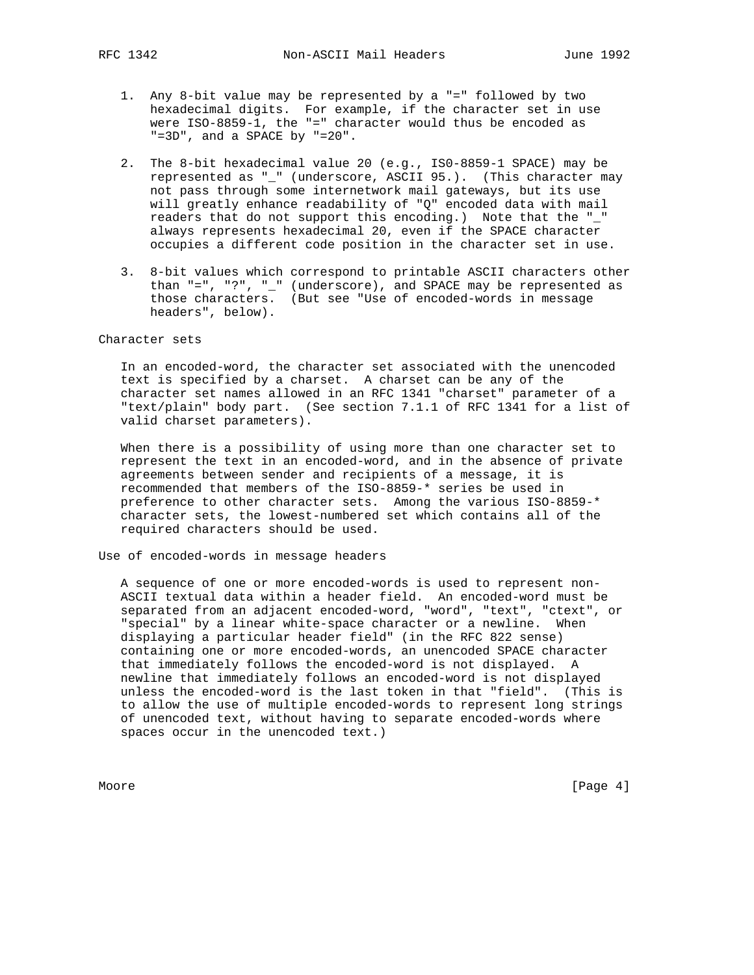- 1. Any 8-bit value may be represented by a "=" followed by two hexadecimal digits. For example, if the character set in use were ISO-8859-1, the "=" character would thus be encoded as "=3D", and a SPACE by "=20".
- 2. The 8-bit hexadecimal value 20 (e.g., IS0-8859-1 SPACE) may be represented as "\_" (underscore, ASCII 95.). (This character may not pass through some internetwork mail gateways, but its use will greatly enhance readability of "Q" encoded data with mail readers that do not support this encoding.) Note that the " " always represents hexadecimal 20, even if the SPACE character occupies a different code position in the character set in use.
- 3. 8-bit values which correspond to printable ASCII characters other than "=", "?", "\_" (underscore), and SPACE may be represented as those characters. (But see "Use of encoded-words in message headers", below).

#### Character sets

 In an encoded-word, the character set associated with the unencoded text is specified by a charset. A charset can be any of the character set names allowed in an RFC 1341 "charset" parameter of a "text/plain" body part. (See section 7.1.1 of RFC 1341 for a list of valid charset parameters).

 When there is a possibility of using more than one character set to represent the text in an encoded-word, and in the absence of private agreements between sender and recipients of a message, it is recommended that members of the ISO-8859-\* series be used in preference to other character sets. Among the various ISO-8859-\* character sets, the lowest-numbered set which contains all of the required characters should be used.

## Use of encoded-words in message headers

 A sequence of one or more encoded-words is used to represent non- ASCII textual data within a header field. An encoded-word must be separated from an adjacent encoded-word, "word", "text", "ctext", or "special" by a linear white-space character or a newline. When displaying a particular header field" (in the RFC 822 sense) containing one or more encoded-words, an unencoded SPACE character that immediately follows the encoded-word is not displayed. A newline that immediately follows an encoded-word is not displayed unless the encoded-word is the last token in that "field". (This is to allow the use of multiple encoded-words to represent long strings of unencoded text, without having to separate encoded-words where spaces occur in the unencoded text.)

Moore [Page 4] [Page 4] [Page 4] [Page 4] [Page 4] [Page 4] [Page 4] [Page 4] [Page 4] [Page 4] [Page 4] [Page 4] [Page 4] [Page 4] [Page 4] [Page 4] [Page 4] [Page 4] [Page 4] [Page 4] [Page 4] [Page 4] [Page 4] [Page 4]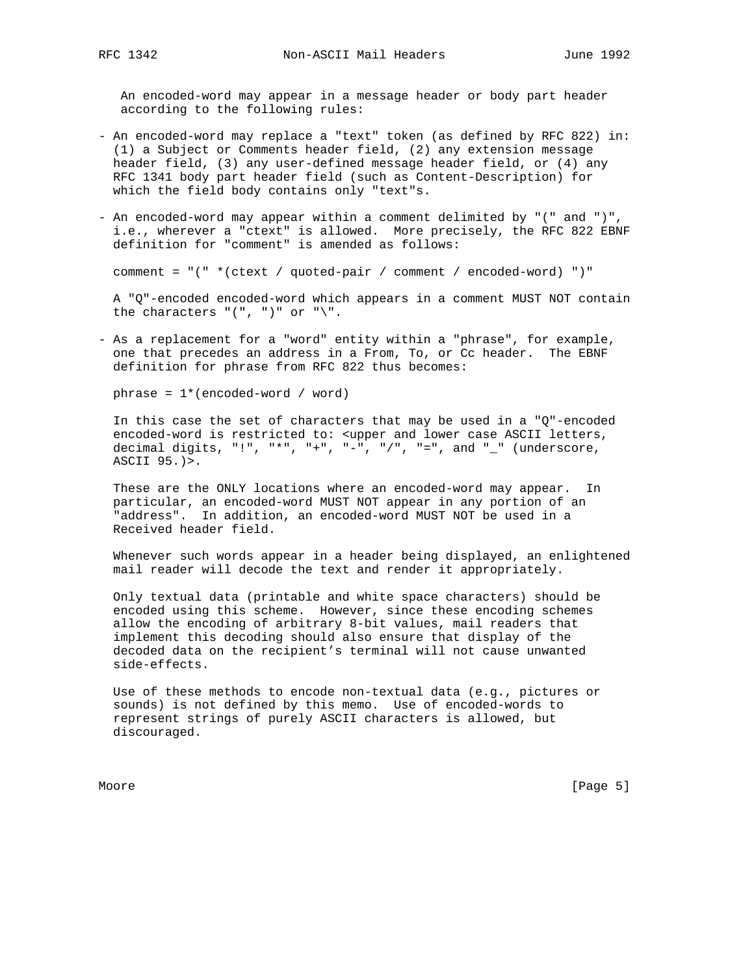An encoded-word may appear in a message header or body part header according to the following rules:

- An encoded-word may replace a "text" token (as defined by RFC 822) in: (1) a Subject or Comments header field, (2) any extension message header field, (3) any user-defined message header field, or (4) any RFC 1341 body part header field (such as Content-Description) for which the field body contains only "text"s.
- An encoded-word may appear within a comment delimited by "(" and ")", i.e., wherever a "ctext" is allowed. More precisely, the RFC 822 EBNF definition for "comment" is amended as follows:

comment = "(" \*(ctext / quoted-pair / comment / encoded-word) ")"

 A "Q"-encoded encoded-word which appears in a comment MUST NOT contain the characters  $"(","")" or "\\".$ 

- As a replacement for a "word" entity within a "phrase", for example, one that precedes an address in a From, To, or Cc header. The EBNF definition for phrase from RFC 822 thus becomes:

phrase = 1\*(encoded-word / word)

 In this case the set of characters that may be used in a "Q"-encoded encoded-word is restricted to: <upper and lower case ASCII letters, decimal digits, "!", "\*", "+", "-", "/", "=", and "\_" (underscore, ASCII 95.)>.

 These are the ONLY locations where an encoded-word may appear. In particular, an encoded-word MUST NOT appear in any portion of an "address". In addition, an encoded-word MUST NOT be used in a Received header field.

 Whenever such words appear in a header being displayed, an enlightened mail reader will decode the text and render it appropriately.

 Only textual data (printable and white space characters) should be encoded using this scheme. However, since these encoding schemes allow the encoding of arbitrary 8-bit values, mail readers that implement this decoding should also ensure that display of the decoded data on the recipient's terminal will not cause unwanted side-effects.

 Use of these methods to encode non-textual data (e.g., pictures or sounds) is not defined by this memo. Use of encoded-words to represent strings of purely ASCII characters is allowed, but discouraged.

Moore [Page 5] [Page 5] [Page 5] [Page 5] [Page 5] [Page 5] [Page 5] [Page 5] [Page 5] [Page 5] [Page 5] [Page 5] [Page 5] [Page 5] [Page 5] [Page 5] [Page 5] [Page 5] [Page 5] [Page 5] [Page 5] [Page 5] [Page 5] [Page 5]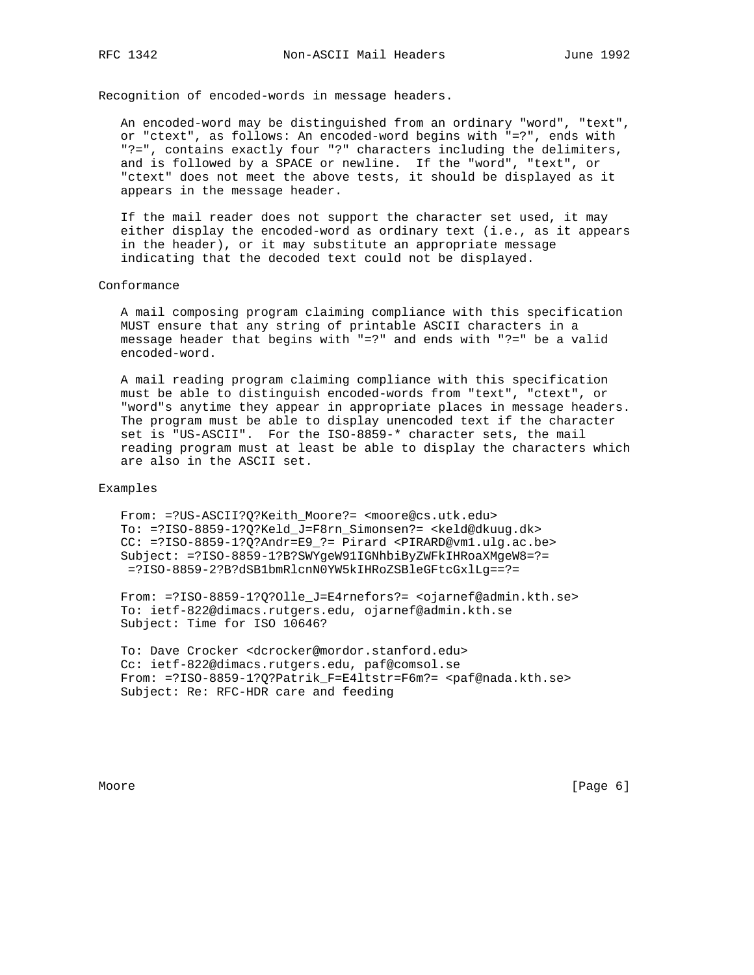Recognition of encoded-words in message headers.

 An encoded-word may be distinguished from an ordinary "word", "text", or "ctext", as follows: An encoded-word begins with "=?", ends with "?=", contains exactly four "?" characters including the delimiters, and is followed by a SPACE or newline. If the "word", "text", or "ctext" does not meet the above tests, it should be displayed as it appears in the message header.

 If the mail reader does not support the character set used, it may either display the encoded-word as ordinary text (i.e., as it appears in the header), or it may substitute an appropriate message indicating that the decoded text could not be displayed.

#### Conformance

 A mail composing program claiming compliance with this specification MUST ensure that any string of printable ASCII characters in a message header that begins with "=?" and ends with "?=" be a valid encoded-word.

 A mail reading program claiming compliance with this specification must be able to distinguish encoded-words from "text", "ctext", or "word"s anytime they appear in appropriate places in message headers. The program must be able to display unencoded text if the character set is "US-ASCII". For the ISO-8859-\* character sets, the mail reading program must at least be able to display the characters which are also in the ASCII set.

#### Examples

 From: =?US-ASCII?Q?Keith\_Moore?= <moore@cs.utk.edu> To: =?ISO-8859-1?Q?Keld\_J=F8rn\_Simonsen?= <keld@dkuug.dk> CC: =?ISO-8859-1?Q?Andr=E9\_?= Pirard <PIRARD@vm1.ulg.ac.be> Subject: =?ISO-8859-1?B?SWYgeW91IGNhbiByZWFkIHRoaXMgeW8=?= =?ISO-8859-2?B?dSB1bmRlcnN0YW5kIHRoZSBleGFtcGxlLg==?=

 From: =?ISO-8859-1?Q?Olle\_J=E4rnefors?= <ojarnef@admin.kth.se> To: ietf-822@dimacs.rutgers.edu, ojarnef@admin.kth.se Subject: Time for ISO 10646?

 To: Dave Crocker <dcrocker@mordor.stanford.edu> Cc: ietf-822@dimacs.rutgers.edu, paf@comsol.se From: =?ISO-8859-1?Q?Patrik\_F=E4ltstr=F6m?= <paf@nada.kth.se> Subject: Re: RFC-HDR care and feeding

Moore [Page 6] [Page 6] [Page 6] [Page 6] [Page 6] [Page 6] [Page 6] [Page 6] [Page 6] [Page 6] [Page 6] [Page 6] [Page 6] [Page 6] [Page 6] [Page 6] [Page 6] [Page 6] [Page 6] [Page 6] [Page 6] [Page 6] [Page 6] [Page 6]